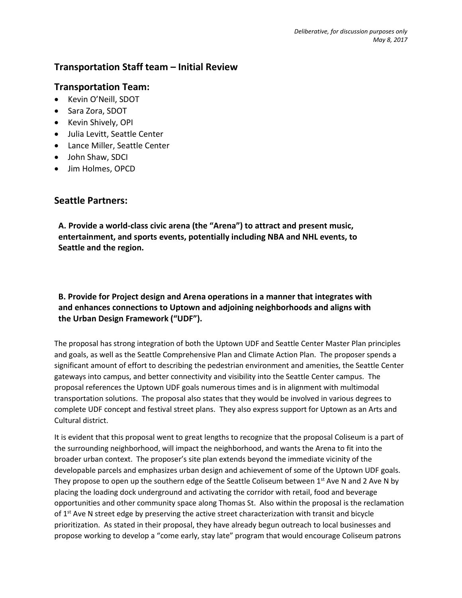# **Transportation Staff team – Initial Review**

## **Transportation Team:**

- Kevin O'Neill, SDOT
- Sara Zora, SDOT
- Kevin Shively, OPI
- Julia Levitt, Seattle Center
- Lance Miller, Seattle Center
- John Shaw, SDCI
- Jim Holmes, OPCD

# **Seattle Partners:**

**A. Provide a world-class civic arena (the "Arena") to attract and present music, entertainment, and sports events, potentially including NBA and NHL events, to Seattle and the region.**

## **B. Provide for Project design and Arena operations in a manner that integrates with and enhances connections to Uptown and adjoining neighborhoods and aligns with the Urban Design Framework ("UDF").**

The proposal has strong integration of both the Uptown UDF and Seattle Center Master Plan principles and goals, as well as the Seattle Comprehensive Plan and Climate Action Plan. The proposer spends a significant amount of effort to describing the pedestrian environment and amenities, the Seattle Center gateways into campus, and better connectivity and visibility into the Seattle Center campus. The proposal references the Uptown UDF goals numerous times and is in alignment with multimodal transportation solutions. The proposal also states that they would be involved in various degrees to complete UDF concept and festival street plans. They also express support for Uptown as an Arts and Cultural district.

It is evident that this proposal went to great lengths to recognize that the proposal Coliseum is a part of the surrounding neighborhood, will impact the neighborhood, and wants the Arena to fit into the broader urban context. The proposer's site plan extends beyond the immediate vicinity of the developable parcels and emphasizes urban design and achievement of some of the Uptown UDF goals. They propose to open up the southern edge of the Seattle Coliseum between  $1<sup>st</sup>$  Ave N and 2 Ave N by placing the loading dock underground and activating the corridor with retail, food and beverage opportunities and other community space along Thomas St. Also within the proposal is the reclamation of 1<sup>st</sup> Ave N street edge by preserving the active street characterization with transit and bicycle prioritization. As stated in their proposal, they have already begun outreach to local businesses and propose working to develop a "come early, stay late" program that would encourage Coliseum patrons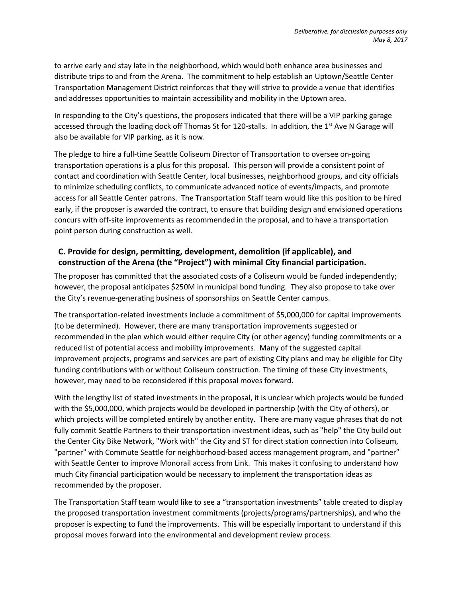to arrive early and stay late in the neighborhood, which would both enhance area businesses and distribute trips to and from the Arena. The commitment to help establish an Uptown/Seattle Center Transportation Management District reinforces that they will strive to provide a venue that identifies and addresses opportunities to maintain accessibility and mobility in the Uptown area.

In responding to the City's questions, the proposers indicated that there will be a VIP parking garage accessed through the loading dock off Thomas St for 120-stalls. In addition, the 1<sup>st</sup> Ave N Garage will also be available for VIP parking, as it is now.

The pledge to hire a full-time Seattle Coliseum Director of Transportation to oversee on-going transportation operations is a plus for this proposal. This person will provide a consistent point of contact and coordination with Seattle Center, local businesses, neighborhood groups, and city officials to minimize scheduling conflicts, to communicate advanced notice of events/impacts, and promote access for all Seattle Center patrons. The Transportation Staff team would like this position to be hired early, if the proposer is awarded the contract, to ensure that building design and envisioned operations concurs with off-site improvements as recommended in the proposal, and to have a transportation point person during construction as well.

## **C. Provide for design, permitting, development, demolition (if applicable), and construction of the Arena (the "Project") with minimal City financial participation.**

The proposer has committed that the associated costs of a Coliseum would be funded independently; however, the proposal anticipates \$250M in municipal bond funding. They also propose to take over the City's revenue-generating business of sponsorships on Seattle Center campus.

The transportation-related investments include a commitment of \$5,000,000 for capital improvements (to be determined). However, there are many transportation improvements suggested or recommended in the plan which would either require City (or other agency) funding commitments or a reduced list of potential access and mobility improvements. Many of the suggested capital improvement projects, programs and services are part of existing City plans and may be eligible for City funding contributions with or without Coliseum construction. The timing of these City investments, however, may need to be reconsidered if this proposal moves forward.

With the lengthy list of stated investments in the proposal, it is unclear which projects would be funded with the \$5,000,000, which projects would be developed in partnership (with the City of others), or which projects will be completed entirely by another entity. There are many vague phrases that do not fully commit Seattle Partners to their transportation investment ideas, such as "help" the City build out the Center City Bike Network, "Work with" the City and ST for direct station connection into Coliseum, "partner" with Commute Seattle for neighborhood-based access management program, and "partner" with Seattle Center to improve Monorail access from Link. This makes it confusing to understand how much City financial participation would be necessary to implement the transportation ideas as recommended by the proposer.

The Transportation Staff team would like to see a "transportation investments" table created to display the proposed transportation investment commitments (projects/programs/partnerships), and who the proposer is expecting to fund the improvements. This will be especially important to understand if this proposal moves forward into the environmental and development review process.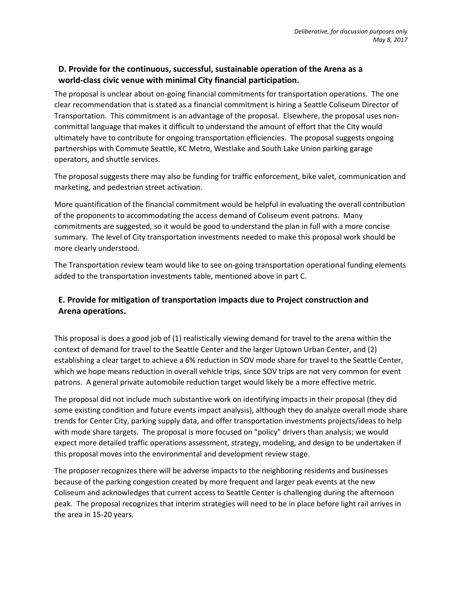## **D. Provide for the continuous, successful, sustainable operation of the Arena as a world-class civic venue with minimal City financial participation.**

The proposal is unclear about on-going financial commitments for transportation operations. The one clear recommendation that is stated as a financial commitment is hiring a Seattle Coliseum Director of Transportation. This commitment is an advantage of the proposal. Elsewhere, the proposal uses noncommittal language that makes it difficult to understand the amount of effort that the City would ultimately have to contribute for ongoing transportation efficiencies. The proposal suggests ongoing partnerships with Commute Seattle, KC Metro, Westlake and South Lake Union parking garage operators, and shuttle services.

The proposal suggests there may also be funding for traffic enforcement, bike valet, communication and marketing, and pedestrian street activation.

More quantification of the financial commitment would be helpful in evaluating the overall contribution of the proponents to accommodating the access demand of Coliseum event patrons. Many commitments are suggested, so it would be good to understand the plan in full with a more concise summary. The level of City transportation investments needed to make this proposal work should be more clearly understood.

The Transportation review team would like to see on-going transportation operational funding elements added to the transportation investments table, mentioned above in part C.

### **E. Provide for mitigation of transportation impacts due to Project construction and Arena operations.**

This proposal is does a good job of (1) realistically viewing demand for travel to the arena within the context of demand for travel to the Seattle Center and the larger Uptown Urban Center, and (2) establishing a clear target to achieve a 6% reduction in SOV mode share for travel to the Seattle Center, which we hope means reduction in overall vehicle trips, since SOV trips are not very common for event patrons. A general private automobile reduction target would likely be a more effective metric.

The proposal did not include much substantive work on identifying impacts in their proposal (they did some existing condition and future events impact analysis), although they do analyze overall mode share trends for Center City, parking supply data, and offer transportation investments projects/ideas to help with mode share targets. The proposal is more focused on "policy" drivers than analysis; we would expect more detailed traffic operations assessment, strategy, modeling, and design to be undertaken if this proposal moves into the environmental and development review stage.

The proposer recognizes there will be adverse impacts to the neighboring residents and businesses because of the parking congestion created by more frequent and larger peak events at the new Coliseum and acknowledges that current access to Seattle Center is challenging during the afternoon peak. The proposal recognizes that interim strategies will need to be in place before light rail arrives in the area in 15-20 years.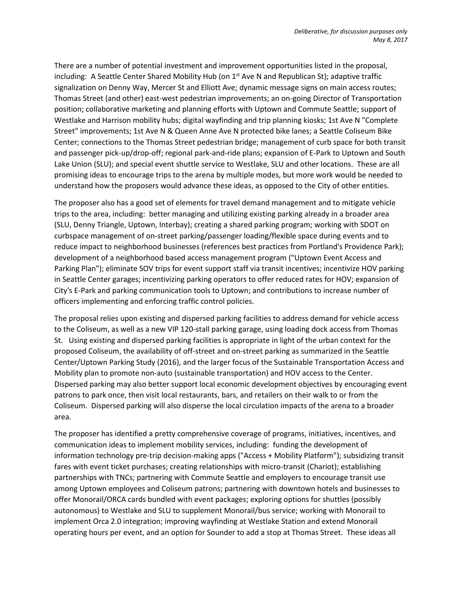There are a number of potential investment and improvement opportunities listed in the proposal, including: A Seattle Center Shared Mobility Hub (on  $1<sup>st</sup>$  Ave N and Republican St); adaptive traffic signalization on Denny Way, Mercer St and Elliott Ave; dynamic message signs on main access routes; Thomas Street (and other) east-west pedestrian improvements; an on-going Director of Transportation position; collaborative marketing and planning efforts with Uptown and Commute Seattle; support of Westlake and Harrison mobility hubs; digital wayfinding and trip planning kiosks; 1st Ave N "Complete Street" improvements; 1st Ave N & Queen Anne Ave N protected bike lanes; a Seattle Coliseum Bike Center; connections to the Thomas Street pedestrian bridge; management of curb space for both transit and passenger pick-up/drop-off; regional park-and-ride plans; expansion of E-Park to Uptown and South Lake Union (SLU); and special event shuttle service to Westlake, SLU and other locations. These are all promising ideas to encourage trips to the arena by multiple modes, but more work would be needed to understand how the proposers would advance these ideas, as opposed to the City of other entities.

The proposer also has a good set of elements for travel demand management and to mitigate vehicle trips to the area, including: better managing and utilizing existing parking already in a broader area (SLU, Denny Triangle, Uptown, Interbay); creating a shared parking program; working with SDOT on curbspace management of on-street parking/passenger loading/flexible space during events and to reduce impact to neighborhood businesses (references best practices from Portland's Providence Park); development of a neighborhood based access management program ("Uptown Event Access and Parking Plan"); eliminate SOV trips for event support staff via transit incentives; incentivize HOV parking in Seattle Center garages; incentivizing parking operators to offer reduced rates for HOV; expansion of City's E-Park and parking communication tools to Uptown; and contributions to increase number of officers implementing and enforcing traffic control policies.

The proposal relies upon existing and dispersed parking facilities to address demand for vehicle access to the Coliseum, as well as a new VIP 120-stall parking garage, using loading dock access from Thomas St. Using existing and dispersed parking facilities is appropriate in light of the urban context for the proposed Coliseum, the availability of off-street and on-street parking as summarized in the Seattle Center/Uptown Parking Study (2016), and the larger focus of the Sustainable Transportation Access and Mobility plan to promote non-auto (sustainable transportation) and HOV access to the Center. Dispersed parking may also better support local economic development objectives by encouraging event patrons to park once, then visit local restaurants, bars, and retailers on their walk to or from the Coliseum. Dispersed parking will also disperse the local circulation impacts of the arena to a broader area.

The proposer has identified a pretty comprehensive coverage of programs, initiatives, incentives, and communication ideas to implement mobility services, including: funding the development of information technology pre-trip decision-making apps ("Access + Mobility Platform"); subsidizing transit fares with event ticket purchases; creating relationships with micro-transit (Chariot); establishing partnerships with TNCs; partnering with Commute Seattle and employers to encourage transit use among Uptown employees and Coliseum patrons; partnering with downtown hotels and businesses to offer Monorail/ORCA cards bundled with event packages; exploring options for shuttles (possibly autonomous) to Westlake and SLU to supplement Monorail/bus service; working with Monorail to implement Orca 2.0 integration; improving wayfinding at Westlake Station and extend Monorail operating hours per event, and an option for Sounder to add a stop at Thomas Street. These ideas all